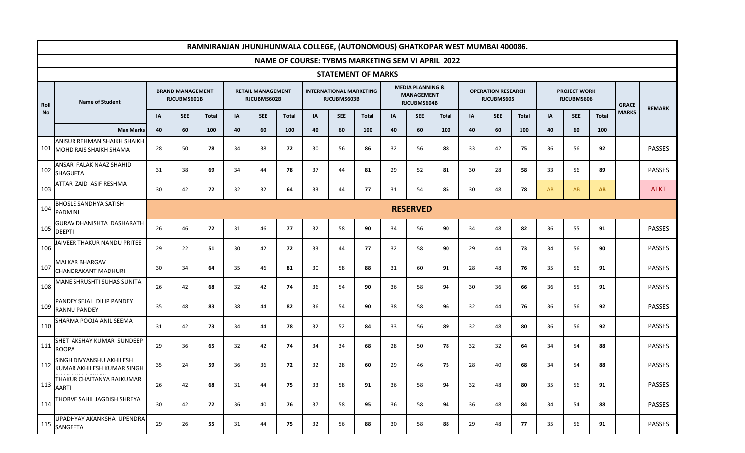|      |                                                                  |                 |                                        |              |    |                                         |              | RAMNIRANJAN JHUNJHUNWALA COLLEGE, (AUTONOMOUS) GHATKOPAR WEST MUMBAI 400086. |                                               |       |    |                                                                 |              |           |                                         |              |                                   |            |              |              |               |
|------|------------------------------------------------------------------|-----------------|----------------------------------------|--------------|----|-----------------------------------------|--------------|------------------------------------------------------------------------------|-----------------------------------------------|-------|----|-----------------------------------------------------------------|--------------|-----------|-----------------------------------------|--------------|-----------------------------------|------------|--------------|--------------|---------------|
|      |                                                                  |                 |                                        |              |    |                                         |              | <b>NAME OF COURSE: TYBMS MARKETING SEM VI APRIL 2022</b>                     |                                               |       |    |                                                                 |              |           |                                         |              |                                   |            |              |              |               |
|      | <b>STATEMENT OF MARKS</b>                                        |                 |                                        |              |    |                                         |              |                                                                              |                                               |       |    |                                                                 |              |           |                                         |              |                                   |            |              |              |               |
| Roll | <b>Name of Student</b>                                           |                 | <b>BRAND MANAGEMENT</b><br>RJCUBMS601B |              |    | <b>RETAIL MANAGEMENT</b><br>RJCUBMS602B |              |                                                                              | <b>INTERNATIONAL MARKETING</b><br>RJCUBMS603B |       |    | <b>MEDIA PLANNING &amp;</b><br><b>MANAGEMENT</b><br>RJCUBMS604B |              |           | <b>OPERATION RESEARCH</b><br>RJCUBMS605 |              | <b>PROJECT WORK</b><br>RJCUBMS606 |            |              | <b>GRACE</b> | <b>REMARK</b> |
| No   |                                                                  | IA              | <b>SEE</b>                             | <b>Total</b> | IA | <b>SEE</b>                              | <b>Total</b> | IA                                                                           | <b>SEE</b>                                    | Total | IA | <b>SEE</b>                                                      | <b>Total</b> | <b>IA</b> | <b>SEE</b>                              | <b>Total</b> | ΙA                                | <b>SEE</b> | <b>Total</b> | <b>MARKS</b> |               |
|      | <b>Max Marks</b>                                                 | 40              | 60                                     | 100          | 40 | 60                                      | 100          | 40                                                                           | 60                                            | 100   | 40 | 60                                                              | 100          | 40        | 60                                      | 100          | 40                                | 60         | 100          |              |               |
|      | <b>ANISUR REHMAN SHAIKH SHAIKH</b><br>101 MOHD RAIS SHAIKH SHAMA | 28              | 50                                     | 78           | 34 | 38                                      | 72           | 30                                                                           | 56                                            | 86    | 32 | 56                                                              | 88           | 33        | 42                                      | 75           | 36                                | 56         | 92           |              | <b>PASSES</b> |
| 102  | ANSARI FALAK NAAZ SHAHID<br><b>SHAGUFTA</b>                      | 31              | 38                                     | 69           | 34 | 44                                      | 78           | 37                                                                           | 44                                            | 81    | 29 | 52                                                              | 81           | 30        | 28                                      | 58           | 33                                | 56         | 89           |              | <b>PASSES</b> |
| 103  | ATTAR ZAID ASIF RESHMA                                           | 30              | 42                                     | 72           | 32 | 32                                      | 64           | 33                                                                           | 44                                            | 77    | 31 | 54                                                              | 85           | 30        | 48                                      | 78           | AB                                | AB         | <b>AB</b>    |              | <b>ATKT</b>   |
| 104  | <b>BHOSLE SANDHYA SATISH</b><br><b>PADMINI</b>                   | <b>RESERVED</b> |                                        |              |    |                                         |              |                                                                              |                                               |       |    |                                                                 |              |           |                                         |              |                                   |            |              |              |               |
| 105  | <b>GURAV DHANISHTA DASHARATH</b><br><b>DEEPTI</b>                | 26              | 46                                     | 72           | 31 | 46                                      | 77           | 32                                                                           | 58                                            | 90    | 34 | 56                                                              | 90           | 34        | 48                                      | 82           | 36                                | 55         | 91           |              | <b>PASSES</b> |
| 106  | JAIVEER THAKUR NANDU PRITEE                                      | 29              | 22                                     | 51           | 30 | 42                                      | 72           | 33                                                                           | 44                                            | 77    | 32 | 58                                                              | 90           | 29        | 44                                      | 73           | 34                                | 56         | 90           |              | PASSES        |
| 107  | <b>MALKAR BHARGAV</b><br><b>CHANDRAKANT MADHURI</b>              | 30              | 34                                     | 64           | 35 | 46                                      | 81           | 30                                                                           | 58                                            | 88    | 31 | 60                                                              | 91           | 28        | 48                                      | 76           | 35                                | 56         | 91           |              | <b>PASSES</b> |
| 108  | MANE SHRUSHTI SUHAS SUNITA                                       | 26              | 42                                     | 68           | 32 | 42                                      | 74           | 36                                                                           | 54                                            | 90    | 36 | 58                                                              | 94           | 30        | 36                                      | 66           | 36                                | 55         | 91           |              | <b>PASSES</b> |
| 109  | PANDEY SEJAL DILIP PANDEY<br><b>RANNU PANDEY</b>                 | 35              | 48                                     | 83           | 38 | 44                                      | 82           | 36                                                                           | 54                                            | 90    | 38 | 58                                                              | 96           | 32        | 44                                      | 76           | 36                                | 56         | 92           |              | PASSES        |
| 110  | SHARMA POOJA ANIL SEEMA                                          | 31              | 42                                     | 73           | 34 | 44                                      | 78           | 32                                                                           | 52                                            | 84    | 33 | 56                                                              | 89           | 32        | 48                                      | 80           | 36                                | 56         | 92           |              | <b>PASSES</b> |
| 111  | SHET AKSHAY KUMAR SUNDEEP<br><b>ROOPA</b>                        | 29              | 36                                     | 65           | 32 | 42                                      | 74           | 34                                                                           | 34                                            | 68    | 28 | 50                                                              | 78           | 32        | 32                                      | 64           | 34                                | 54         | 88           |              | PASSES        |
|      | SINGH DIVYANSHU AKHILESH<br>112 KUMAR AKHILESH KUMAR SINGH       | 35              | 24                                     | 59           | 36 | 36                                      | 72           | 32                                                                           | 28                                            | 60    | 29 | 46                                                              | 75           | 28        | 40                                      | 68           | 34                                | 54         | 88           |              | PASSES        |
| 113  | THAKUR CHAITANYA RAJKUMAR<br><b>AARTI</b>                        | 26              | 42                                     | 68           | 31 | 44                                      | 75           | 33                                                                           | 58                                            | 91    | 36 | 58                                                              | 94           | 32        | 48                                      | 80           | 35                                | 56         | 91           |              | PASSES        |
| 114  | THORVE SAHIL JAGDISH SHREYA                                      | 30              | 42                                     | 72           | 36 | 40                                      | 76           | 37                                                                           | 58                                            | 95    | 36 | 58                                                              | 94           | 36        | 48                                      | 84           | 34                                | 54         | 88           |              | <b>PASSES</b> |
|      | UPADHYAY AKANKSHA UPENDRA<br>115 SANGEETA                        | 29              | 26                                     | 55           | 31 | 44                                      | 75           | 32                                                                           | 56                                            | 88    | 30 | 58                                                              | 88           | 29        | 48                                      | 77           | 35                                | 56         | 91           |              | PASSES        |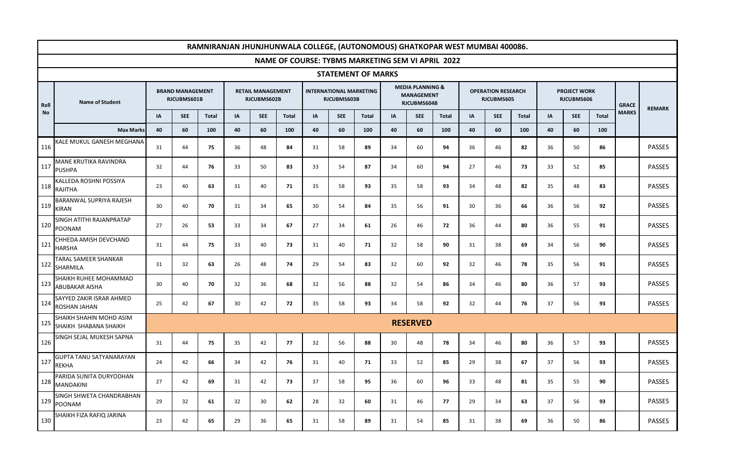|                           |                                                  |    |                                        |              |    |                                         |              | RAMNIRANJAN JHUNJHUNWALA COLLEGE, (AUTONOMOUS) GHATKOPAR WEST MUMBAI 400086. |                                               |              |    |                                                                 |              |    |                                         |       |                                   |            |              |              |               |
|---------------------------|--------------------------------------------------|----|----------------------------------------|--------------|----|-----------------------------------------|--------------|------------------------------------------------------------------------------|-----------------------------------------------|--------------|----|-----------------------------------------------------------------|--------------|----|-----------------------------------------|-------|-----------------------------------|------------|--------------|--------------|---------------|
|                           |                                                  |    |                                        |              |    |                                         |              | <b>NAME OF COURSE: TYBMS MARKETING SEM VI APRIL 2022</b>                     |                                               |              |    |                                                                 |              |    |                                         |       |                                   |            |              |              |               |
| <b>STATEMENT OF MARKS</b> |                                                  |    |                                        |              |    |                                         |              |                                                                              |                                               |              |    |                                                                 |              |    |                                         |       |                                   |            |              |              |               |
| Roll                      | <b>Name of Student</b>                           |    | <b>BRAND MANAGEMENT</b><br>RJCUBMS601B |              |    | <b>RETAIL MANAGEMENT</b><br>RJCUBMS602B |              |                                                                              | <b>INTERNATIONAL MARKETING</b><br>RJCUBMS603B |              |    | <b>MEDIA PLANNING &amp;</b><br><b>MANAGEMENT</b><br>RJCUBMS604B |              |    | <b>OPERATION RESEARCH</b><br>RJCUBMS605 |       | <b>PROJECT WORK</b><br>RJCUBMS606 |            |              | <b>GRACE</b> | <b>REMARK</b> |
| <b>No</b>                 |                                                  | IA | <b>SEE</b>                             | <b>Total</b> | IA | <b>SEE</b>                              | <b>Total</b> | IA                                                                           | <b>SEE</b>                                    | <b>Total</b> | IA | <b>SEE</b>                                                      | <b>Total</b> | IA | <b>SEE</b>                              | Total | IA                                | <b>SEE</b> | <b>Total</b> | <b>MARKS</b> |               |
|                           | <b>Max Marks</b>                                 | 40 | 60                                     | 100          | 40 | 60                                      | 100          | 40                                                                           | 60                                            | 100          | 40 | 60                                                              | 100          | 40 | 60                                      | 100   | 40                                | 60         | 100          |              |               |
| 116                       | KALE MUKUL GANESH MEGHANA                        | 31 | 44                                     | 75           | 36 | 48                                      | 84           | 31                                                                           | 58                                            | 89           | 34 | 60                                                              | 94           | 36 | 46                                      | 82    | 36                                | 50         | 86           |              | PASSES        |
| 117                       | <b>MANE KRUTIKA RAVINDRA</b><br><b>PUSHPA</b>    | 32 | 44                                     | 76           | 33 | 50                                      | 83           | 33                                                                           | 54                                            | 87           | 34 | 60                                                              | 94           | 27 | 46                                      | 73    | 33                                | 52         | 85           |              | PASSES        |
| 118                       | KALLEDA ROSHNI POSSIYA<br><b>RAJITHA</b>         | 23 | 40                                     | 63           | 31 | 40                                      | 71           | 35                                                                           | 58                                            | 93           | 35 | 58                                                              | 93           | 34 | 48                                      | 82    | 35                                | 48         | 83           |              | PASSES        |
|                           | <b>BARANWAL SUPRIYA RAJESH</b><br>$119$ KIRAN    | 30 | 40                                     | 70           | 31 | 34                                      | 65           | 30                                                                           | 54                                            | 84           | 35 | 56                                                              | 91           | 30 | 36                                      | 66    | 36                                | 56         | 92           |              | <b>PASSES</b> |
| 120                       | SINGH ATITHI RAJANPRATAP<br>POONAM               | 27 | 26                                     | 53           | 33 | 34                                      | 67           | 27                                                                           | 34                                            | 61           | 26 | 46                                                              | 72           | 36 | 44                                      | 80    | 36                                | 55         | 91           |              | PASSES        |
|                           | CHHEDA AMISH DEVCHAND<br>$121$ HARSHA            | 31 | 44                                     | 75           | 33 | 40                                      | 73           | 31                                                                           | 40                                            | 71           | 32 | 58                                                              | 90           | 31 | 38                                      | 69    | 34                                | 56         | 90           |              | <b>PASSES</b> |
| 122                       | <b>TARAL SAMEER SHANKAR</b><br>SHARMILA          | 31 | 32                                     | 63           | 26 | 48                                      | 74           | 29                                                                           | 54                                            | 83           | 32 | 60                                                              | 92           | 32 | 46                                      | 78    | 35                                | 56         | 91           |              | <b>PASSES</b> |
| 123                       | SHAIKH RUHEE MOHAMMAD<br><b>ABUBAKAR AISHA</b>   | 30 | 40                                     | 70           | 32 | 36                                      | 68           | 32                                                                           | 56                                            | 88           | 32 | 54                                                              | 86           | 34 | 46                                      | 80    | 36                                | 57         | 93           |              | PASSES        |
|                           | SAYYED ZAKIR ISRAR AHMED<br>124 ROSHAN JAHAN     | 25 | 42                                     | 67           | 30 | 42                                      | 72           | 35                                                                           | 58                                            | 93           | 34 | 58                                                              | 92           | 32 | 44                                      | 76    | 37                                | 56         | 93           |              | <b>PASSES</b> |
| 125                       | SHAIKH SHAHIN MOHD ASIM<br>SHAIKH SHABANA SHAIKH |    |                                        |              |    |                                         |              |                                                                              |                                               |              |    | <b>RESERVED</b>                                                 |              |    |                                         |       |                                   |            |              |              |               |
| 126                       | SINGH SEJAL MUKESH SAPNA                         | 31 | 44                                     | 75           | 35 | 42                                      | 77           | 32                                                                           | 56                                            | 88           | 30 | 48                                                              | 78           | 34 | 46                                      | 80    | 36                                | 57         | 93           |              | <b>PASSES</b> |
| 127                       | <b>GUPTA TANU SATYANARAYAN</b><br><b>REKHA</b>   | 24 | 42                                     | 66           | 34 | 42                                      | 76           | 31                                                                           | 40                                            | 71           | 33 | 52                                                              | 85           | 29 | 38                                      | 67    | 37                                | 56         | 93           |              | <b>PASSES</b> |
|                           | PARIDA SUNITA DURYODHAN<br>128 MANDAKINI         | 27 | 42                                     | 69           | 31 | 42                                      | 73           | 37                                                                           | 58                                            | 95           | 36 | 60                                                              | 96           | 33 | 48                                      | 81    | 35                                | 55         | 90           |              | PASSES        |
|                           | SINGH SHWETA CHANDRABHAN<br>129 POONAM           | 29 | 32                                     | 61           | 32 | 30                                      | 62           | 28                                                                           | 32                                            | 60           | 31 | 46                                                              | 77           | 29 | 34                                      | 63    | 37                                | 56         | 93           |              | <b>PASSES</b> |
| 130                       | SHAIKH FIZA RAFIQ JARINA                         | 23 | 42                                     | 65           | 29 | 36                                      | 65           | 31                                                                           | 58                                            | 89           | 31 | 54                                                              | 85           | 31 | 38                                      | 69    | 36                                | 50         | 86           |              | PASSES        |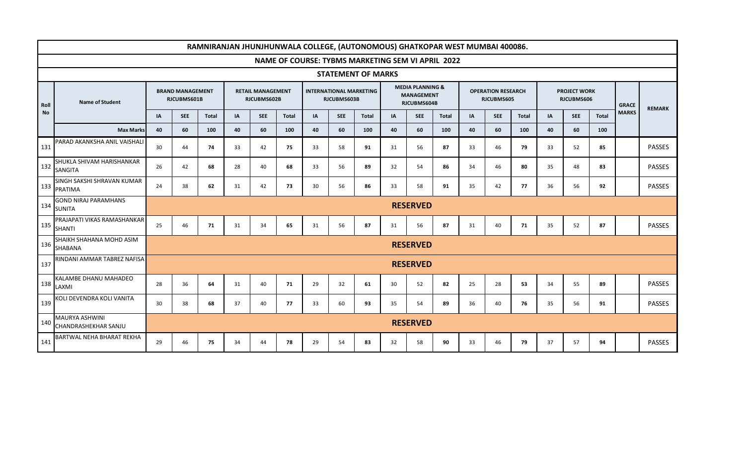|           | RAMNIRANJAN JHUNJHUNWALA COLLEGE, (AUTONOMOUS) GHATKOPAR WEST MUMBAI 400086. |    |                                        |              |    |                                         |              |    |                                               |              |                                                                 |                 |              |                                         |            |       |    |                                   |              |              |               |
|-----------|------------------------------------------------------------------------------|----|----------------------------------------|--------------|----|-----------------------------------------|--------------|----|-----------------------------------------------|--------------|-----------------------------------------------------------------|-----------------|--------------|-----------------------------------------|------------|-------|----|-----------------------------------|--------------|--------------|---------------|
|           | NAME OF COURSE: TYBMS MARKETING SEM VI APRIL 2022                            |    |                                        |              |    |                                         |              |    |                                               |              |                                                                 |                 |              |                                         |            |       |    |                                   |              |              |               |
|           | <b>STATEMENT OF MARKS</b>                                                    |    |                                        |              |    |                                         |              |    |                                               |              |                                                                 |                 |              |                                         |            |       |    |                                   |              |              |               |
| Roll      | <b>Name of Student</b>                                                       |    | <b>BRAND MANAGEMENT</b><br>RJCUBMS601B |              |    | <b>RETAIL MANAGEMENT</b><br>RJCUBMS602B |              |    | <b>INTERNATIONAL MARKETING</b><br>RJCUBMS603B |              | <b>MEDIA PLANNING &amp;</b><br><b>MANAGEMENT</b><br>RJCUBMS604B |                 |              | <b>OPERATION RESEARCH</b><br>RJCUBMS605 |            |       |    | <b>PROJECT WORK</b><br>RJCUBMS606 |              | <b>GRACE</b> | <b>REMARK</b> |
| <b>No</b> |                                                                              | IA | <b>SEE</b>                             | <b>Total</b> | IA | <b>SEE</b>                              | <b>Total</b> | IA | <b>SEE</b>                                    | <b>Total</b> | IA                                                              | <b>SEE</b>      | <b>Total</b> | IA                                      | <b>SEE</b> | Total | IA | <b>SEE</b>                        | <b>Total</b> | <b>MARKS</b> |               |
|           | <b>Max Marks</b>                                                             | 40 | 60                                     | 100          | 40 | 60                                      | 100          | 40 | 60                                            | 100          | 40                                                              | 60              | 100          | 40                                      | 60         | 100   | 40 | 60                                | 100          |              |               |
| 131       | PARAD AKANKSHA ANIL VAISHALI                                                 | 30 | 44                                     | 74           | 33 | 42                                      | 75           | 33 | 58                                            | 91           | 31                                                              | 56              | 87           | 33                                      | 46         | 79    | 33 | 52                                | 85           |              | PASSES        |
|           | SHUKLA SHIVAM HARISHANKAR<br>132 SANGITA                                     | 26 | 42                                     | 68           | 28 | 40                                      | 68           | 33 | 56                                            | 89           | 32                                                              | 54              | 86           | 34                                      | 46         | 80    | 35 | 48                                | 83           |              | <b>PASSES</b> |
| 133       | SINGH SAKSHI SHRAVAN KUMAR<br>PRATIMA                                        | 24 | 38                                     | 62           | 31 | 42                                      | 73           | 30 | 56                                            | 86           | 33                                                              | 58              | 91           | 35                                      | 42         | 77    | 36 | 56                                | 92           |              | PASSES        |
| 134       | <b>GOND NIRAJ PARAMHANS</b><br><b>SUNITA</b>                                 |    | <b>RESERVED</b>                        |              |    |                                         |              |    |                                               |              |                                                                 |                 |              |                                         |            |       |    |                                   |              |              |               |
| 135       | PRAJAPATI VIKAS RAMASHANKAR<br><b>SHANTI</b>                                 | 25 | 46                                     | 71           | 31 | 34                                      | 65           | 31 | 56                                            | 87           | 31                                                              | 56              | 87           | 31                                      | 40         | 71    | 35 | 52                                | 87           |              | PASSES        |
|           | SHAIKH SHAHANA MOHD ASIM<br>136 SHABANA                                      |    |                                        |              |    |                                         |              |    |                                               |              |                                                                 | <b>RESERVED</b> |              |                                         |            |       |    |                                   |              |              |               |
| 137       | RINDANI AMMAR TABREZ NAFISA                                                  |    |                                        |              |    |                                         |              |    |                                               |              |                                                                 | <b>RESERVED</b> |              |                                         |            |       |    |                                   |              |              |               |
|           | KALAMBE DHANU MAHADEO<br>$138$ LAXMI                                         | 28 | 36                                     | 64           | 31 | 40                                      | 71           | 29 | 32                                            | 61           | 30                                                              | 52              | 82           | 25                                      | 28         | 53    | 34 | 55                                | 89           |              | PASSES        |
| 139       | KOLI DEVENDRA KOLI VANITA                                                    | 30 | 38                                     | 68           | 37 | 40                                      | 77           | 33 | 60                                            | 93           | 35                                                              | 54              | 89           | 36                                      | 40         | 76    | 35 | 56                                | 91           |              | <b>PASSES</b> |
| 140       | MAURYA ASHWINI<br>CHANDRASHEKHAR SANJU                                       |    |                                        |              |    |                                         |              |    |                                               |              |                                                                 | <b>RESERVED</b> |              |                                         |            |       |    |                                   |              |              |               |
| 141       | BARTWAL NEHA BHARAT REKHA                                                    | 29 | 46                                     | 75           | 34 | 44                                      | 78           | 29 | 54                                            | 83           | 32                                                              | 58              | 90           | 33                                      | 46         | 79    | 37 | 57                                | 94           |              | PASSES        |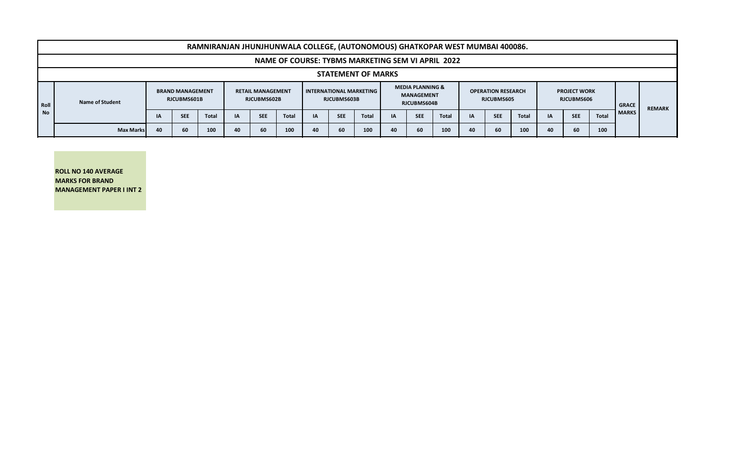|      | RAMNIRANJAN JHUNJHUNWALA COLLEGE, (AUTONOMOUS) GHATKOPAR WEST MUMBAI 400086. |                                        |            |              |                                         |            |              |                                            |            |              |                                                                 |            |       |                                         |            |              |                                   |            |       |              |               |
|------|------------------------------------------------------------------------------|----------------------------------------|------------|--------------|-----------------------------------------|------------|--------------|--------------------------------------------|------------|--------------|-----------------------------------------------------------------|------------|-------|-----------------------------------------|------------|--------------|-----------------------------------|------------|-------|--------------|---------------|
|      | NAME OF COURSE: TYBMS MARKETING SEM VI APRIL 2022                            |                                        |            |              |                                         |            |              |                                            |            |              |                                                                 |            |       |                                         |            |              |                                   |            |       |              |               |
|      | <b>STATEMENT OF MARKS</b>                                                    |                                        |            |              |                                         |            |              |                                            |            |              |                                                                 |            |       |                                         |            |              |                                   |            |       |              |               |
| Roll | <b>Name of Student</b>                                                       | <b>BRAND MANAGEMENT</b><br>RJCUBMS601B |            |              | <b>RETAIL MANAGEMENT</b><br>RJCUBMS602B |            |              | I INTERNATIONAL MARKETING I<br>RJCUBMS603B |            |              | <b>MEDIA PLANNING &amp;</b><br><b>MANAGEMENT</b><br>RJCUBMS604B |            |       | <b>OPERATION RESEARCH</b><br>RJCUBMS605 |            |              | <b>PROJECT WORK</b><br>RJCUBMS606 |            |       | <b>GRACE</b> | <b>REMARK</b> |
| l No |                                                                              | ΙA                                     | <b>SEE</b> | <b>Total</b> | IA                                      | <b>SEE</b> | <b>Total</b> | IA                                         | <b>SEE</b> | <b>Total</b> | IA                                                              | <b>SEE</b> | Total | IA                                      | <b>SEE</b> | <b>Total</b> | <b>IA</b>                         | <b>SEE</b> | Total | <b>MARKS</b> |               |
|      | <b>Max Marks</b>                                                             | 40                                     | 60         | 100          | 40                                      | 60         | 100          | 40                                         | 60         | 100          | 40                                                              | -60        | 100   | 40                                      | 60         | 100          | 40                                | 60         | 100   |              |               |

**ROLL NO 140 AVERAGE MARKS FOR BRAND MANAGEMENT PAPER I INT 2**